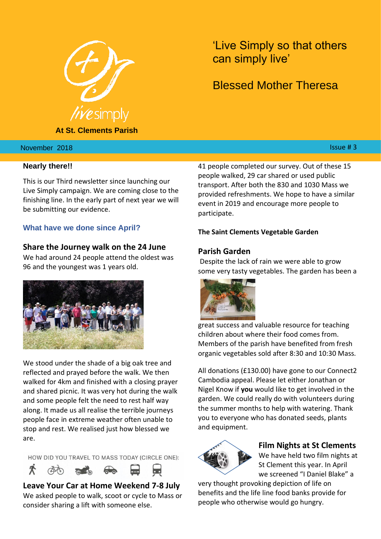

**At St. Clements Parish**

'Live Simply so that others can simply live'

# Blessed Mother Theresa

#### $\lambda$  hber  $2018$  . It is the set of the set of the set of the set of the set of the set of the set of the set of the set of the set of the set of the set of the set of the set of the set of the set of the set of the set o November 2018

#### **Nearly there!!**

This is our Third newsletter since launching our Live Simply campaign. We are coming close to the finishing line. In the early part of next year we will be submitting our evidence.

#### **What have we done since April?**

#### **Share the Journey walk on the 24 June**

We had around 24 people attend the oldest was 96 and the youngest was 1 years old.



We stood under the shade of a big oak tree and reflected and prayed before the walk. We then walked for 4km and finished with a closing prayer and shared picnic. It was very hot during the walk and some people felt the need to rest half way along. It made us all realise the terrible journeys people face in extreme weather often unable to stop and rest. We realised just how blessed we are.

HOW DID YOU TRAVEL TO MASS TODAY (CIRCLE ONE):



**Leave Your Car at Home Weekend 7-8 July** We asked people to walk, scoot or cycle to Mass or consider sharing a lift with someone else.

41 people completed our survey. Out of these 15 people walked, 29 car shared or used public transport. After both the 830 and 1030 Mass we provided refreshments. We hope to have a similar event in 2019 and encourage more people to participate.

#### **The Saint Clements Vegetable Garden**

#### **Parish Garden**

Despite the lack of rain we were able to grow some very tasty vegetables. The garden has been a



great success and valuable resource for teaching children about where their food comes from. Members of the parish have benefited from fresh organic vegetables sold after 8:30 and 10:30 Mass.

All donations (£130.00) have gone to our Connect2 Cambodia appeal. Please let either Jonathan or Nigel Know if **you** would like to get involved in the garden. We could really do with volunteers during the summer months to help with watering. Thank you to everyone who has donated seeds, plants and equipment.



#### **Film Nights at St Clements**

We have held two film nights at St Clement this year. In April we screened "I Daniel Blake" a

very thought provoking depiction of life on benefits and the life line food banks provide for people who otherwise would go hungry.